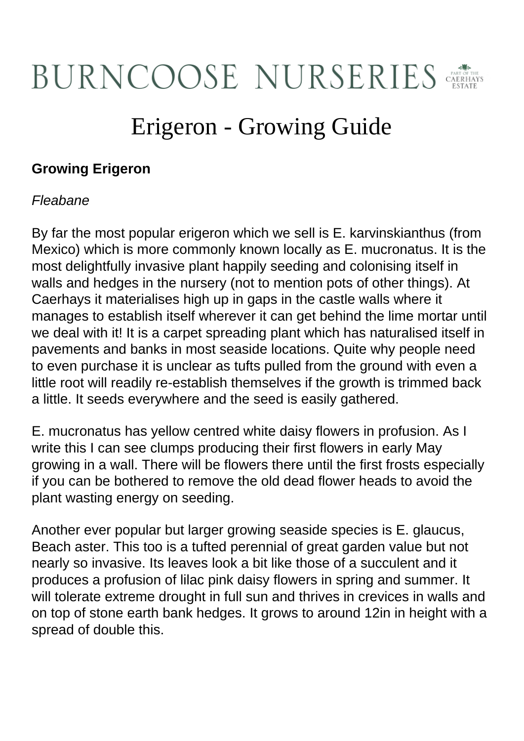# **BURNCOOSE NURSERIES**

## Erigeron - Growing Guide

### **Growing Erigeron**

#### Fleabane

By far the most popular erigeron which we sell is E. karvinskianthus (from Mexico) which is more commonly known locally as E. mucronatus. It is the most delightfully invasive plant happily seeding and colonising itself in walls and hedges in the nursery (not to mention pots of other things). At Caerhays it materialises high up in gaps in the castle walls where it manages to establish itself wherever it can get behind the lime mortar until we deal with it! It is a carpet spreading plant which has naturalised itself in pavements and banks in most seaside locations. Quite why people need to even purchase it is unclear as tufts pulled from the ground with even a little root will readily re-establish themselves if the growth is trimmed back a little. It seeds everywhere and the seed is easily gathered.

E. mucronatus has yellow centred white daisy flowers in profusion. As I write this I can see clumps producing their first flowers in early May growing in a wall. There will be flowers there until the first frosts especially if you can be bothered to remove the old dead flower heads to avoid the plant wasting energy on seeding.

Another ever popular but larger growing seaside species is E. glaucus, Beach aster. This too is a tufted perennial of great garden value but not nearly so invasive. Its leaves look a bit like those of a succulent and it produces a profusion of lilac pink daisy flowers in spring and summer. It will tolerate extreme drought in full sun and thrives in crevices in walls and on top of stone earth bank hedges. It grows to around 12in in height with a spread of double this.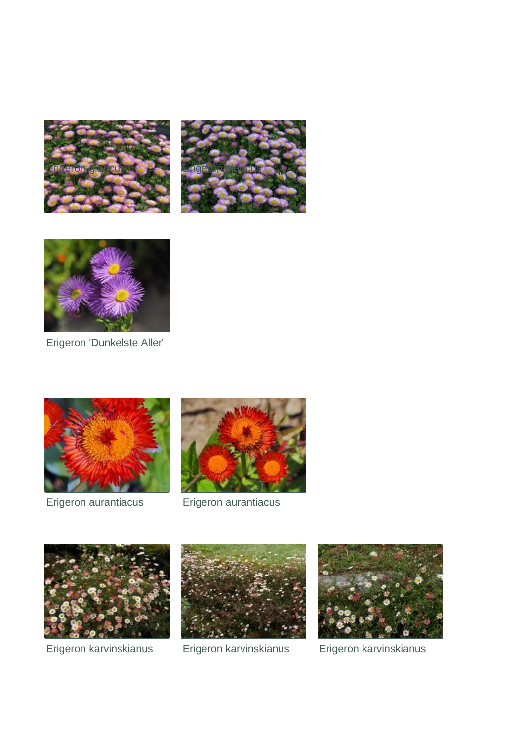





#### Erigeron 'Dunkelste Aller'



Erigeron aurantiacus Erigeron aurantiacus







Erigeron karvinskianus Erigeron karvinskianus Erigeron karvinskianus